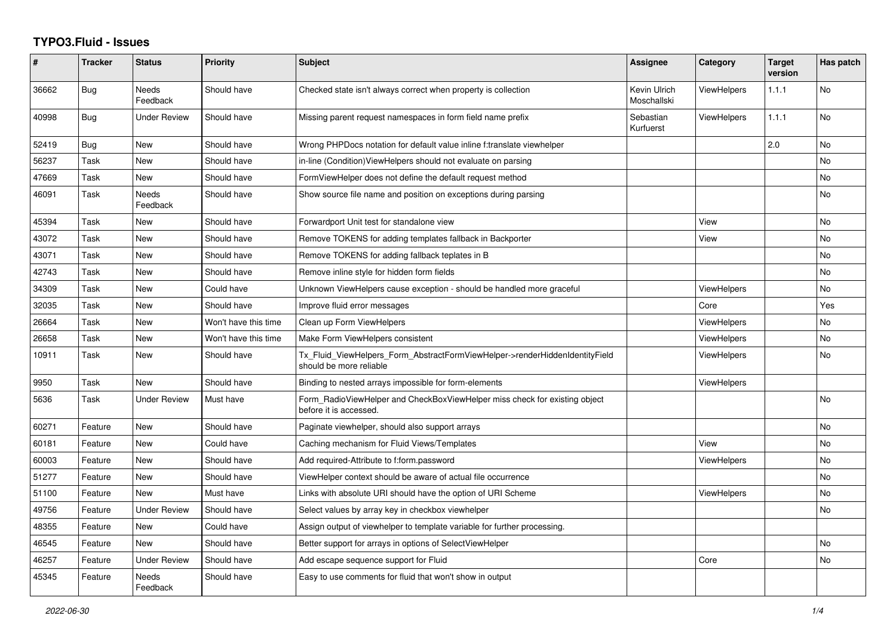## **TYPO3.Fluid - Issues**

| #     | <b>Tracker</b> | <b>Status</b>            | <b>Priority</b>      | Subject                                                                                                | <b>Assignee</b>             | Category           | <b>Target</b><br>version | Has patch |
|-------|----------------|--------------------------|----------------------|--------------------------------------------------------------------------------------------------------|-----------------------------|--------------------|--------------------------|-----------|
| 36662 | <b>Bug</b>     | <b>Needs</b><br>Feedback | Should have          | Checked state isn't always correct when property is collection                                         | Kevin Ulrich<br>Moschallski | ViewHelpers        | 1.1.1                    | No        |
| 40998 | Bug            | <b>Under Review</b>      | Should have          | Missing parent request namespaces in form field name prefix                                            | Sebastian<br>Kurfuerst      | <b>ViewHelpers</b> | 1.1.1                    | <b>No</b> |
| 52419 | Bug            | <b>New</b>               | Should have          | Wrong PHPDocs notation for default value inline f:translate viewhelper                                 |                             |                    | 2.0                      | <b>No</b> |
| 56237 | Task           | New                      | Should have          | in-line (Condition) View Helpers should not evaluate on parsing                                        |                             |                    |                          | No        |
| 47669 | Task           | <b>New</b>               | Should have          | FormViewHelper does not define the default request method                                              |                             |                    |                          | <b>No</b> |
| 46091 | Task           | <b>Needs</b><br>Feedback | Should have          | Show source file name and position on exceptions during parsing                                        |                             |                    |                          | No        |
| 45394 | Task           | <b>New</b>               | Should have          | Forwardport Unit test for standalone view                                                              |                             | View               |                          | <b>No</b> |
| 43072 | Task           | New                      | Should have          | Remove TOKENS for adding templates fallback in Backporter                                              |                             | View               |                          | No        |
| 43071 | Task           | New                      | Should have          | Remove TOKENS for adding fallback teplates in B                                                        |                             |                    |                          | <b>No</b> |
| 42743 | Task           | <b>New</b>               | Should have          | Remove inline style for hidden form fields                                                             |                             |                    |                          | No        |
| 34309 | Task           | New                      | Could have           | Unknown ViewHelpers cause exception - should be handled more graceful                                  |                             | ViewHelpers        |                          | <b>No</b> |
| 32035 | Task           | New                      | Should have          | Improve fluid error messages                                                                           |                             | Core               |                          | Yes       |
| 26664 | Task           | <b>New</b>               | Won't have this time | Clean up Form ViewHelpers                                                                              |                             | <b>ViewHelpers</b> |                          | <b>No</b> |
| 26658 | Task           | <b>New</b>               | Won't have this time | Make Form ViewHelpers consistent                                                                       |                             | <b>ViewHelpers</b> |                          | No        |
| 10911 | Task           | New                      | Should have          | Tx Fluid ViewHelpers Form AbstractFormViewHelper->renderHiddenIdentityField<br>should be more reliable |                             | ViewHelpers        |                          | No        |
| 9950  | Task           | <b>New</b>               | Should have          | Binding to nested arrays impossible for form-elements                                                  |                             | <b>ViewHelpers</b> |                          |           |
| 5636  | Task           | <b>Under Review</b>      | Must have            | Form RadioViewHelper and CheckBoxViewHelper miss check for existing object<br>before it is accessed.   |                             |                    |                          | <b>No</b> |
| 60271 | Feature        | <b>New</b>               | Should have          | Paginate viewhelper, should also support arrays                                                        |                             |                    |                          | <b>No</b> |
| 60181 | Feature        | New                      | Could have           | Caching mechanism for Fluid Views/Templates                                                            |                             | View               |                          | <b>No</b> |
| 60003 | Feature        | New                      | Should have          | Add required-Attribute to f:form.password                                                              |                             | <b>ViewHelpers</b> |                          | <b>No</b> |
| 51277 | Feature        | New                      | Should have          | ViewHelper context should be aware of actual file occurrence                                           |                             |                    |                          | No        |
| 51100 | Feature        | <b>New</b>               | Must have            | Links with absolute URI should have the option of URI Scheme                                           |                             | <b>ViewHelpers</b> |                          | No        |
| 49756 | Feature        | <b>Under Review</b>      | Should have          | Select values by array key in checkbox viewhelper                                                      |                             |                    |                          | No        |
| 48355 | Feature        | New                      | Could have           | Assign output of viewhelper to template variable for further processing.                               |                             |                    |                          |           |
| 46545 | Feature        | <b>New</b>               | Should have          | Better support for arrays in options of SelectViewHelper                                               |                             |                    |                          | No        |
| 46257 | Feature        | <b>Under Review</b>      | Should have          | Add escape sequence support for Fluid                                                                  |                             | Core               |                          | <b>No</b> |
| 45345 | Feature        | <b>Needs</b><br>Feedback | Should have          | Easy to use comments for fluid that won't show in output                                               |                             |                    |                          |           |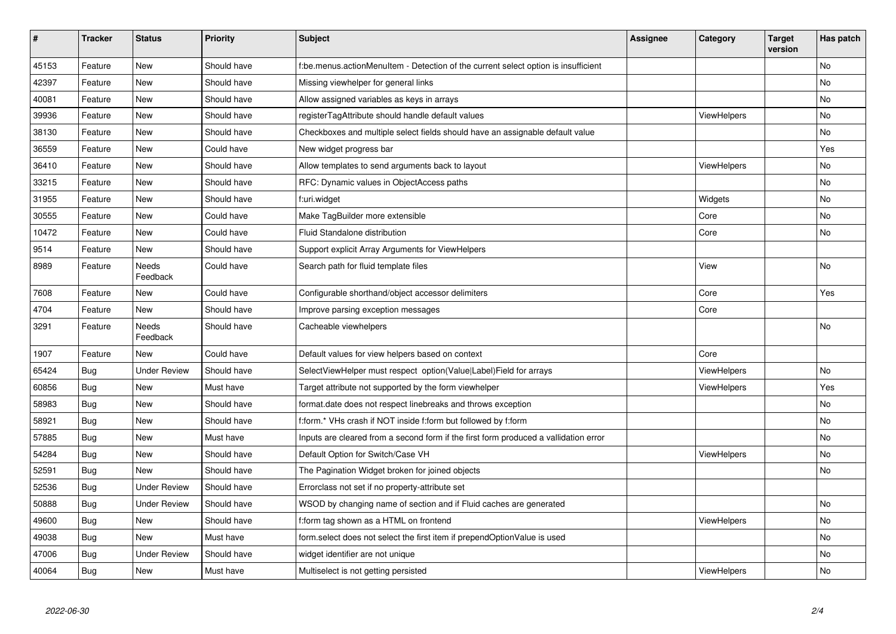| $\sharp$ | <b>Tracker</b> | <b>Status</b>       | <b>Priority</b> | <b>Subject</b>                                                                       | <b>Assignee</b> | Category           | <b>Target</b><br>version | Has patch |
|----------|----------------|---------------------|-----------------|--------------------------------------------------------------------------------------|-----------------|--------------------|--------------------------|-----------|
| 45153    | Feature        | New                 | Should have     | f:be.menus.actionMenuItem - Detection of the current select option is insufficient   |                 |                    |                          | <b>No</b> |
| 42397    | Feature        | New                 | Should have     | Missing viewhelper for general links                                                 |                 |                    |                          | No        |
| 40081    | Feature        | New                 | Should have     | Allow assigned variables as keys in arrays                                           |                 |                    |                          | No        |
| 39936    | Feature        | New                 | Should have     | registerTagAttribute should handle default values                                    |                 | <b>ViewHelpers</b> |                          | No        |
| 38130    | Feature        | New                 | Should have     | Checkboxes and multiple select fields should have an assignable default value        |                 |                    |                          | No        |
| 36559    | Feature        | New                 | Could have      | New widget progress bar                                                              |                 |                    |                          | Yes       |
| 36410    | Feature        | <b>New</b>          | Should have     | Allow templates to send arguments back to layout                                     |                 | ViewHelpers        |                          | <b>No</b> |
| 33215    | Feature        | New                 | Should have     | RFC: Dynamic values in ObjectAccess paths                                            |                 |                    |                          | No        |
| 31955    | Feature        | New                 | Should have     | f:uri.widget                                                                         |                 | Widgets            |                          | <b>No</b> |
| 30555    | Feature        | New                 | Could have      | Make TagBuilder more extensible                                                      |                 | Core               |                          | No        |
| 10472    | Feature        | New                 | Could have      | <b>Fluid Standalone distribution</b>                                                 |                 | Core               |                          | <b>No</b> |
| 9514     | Feature        | New                 | Should have     | Support explicit Array Arguments for ViewHelpers                                     |                 |                    |                          |           |
| 8989     | Feature        | Needs<br>Feedback   | Could have      | Search path for fluid template files                                                 |                 | View               |                          | No        |
| 7608     | Feature        | <b>New</b>          | Could have      | Configurable shorthand/object accessor delimiters                                    |                 | Core               |                          | Yes       |
| 4704     | Feature        | New                 | Should have     | Improve parsing exception messages                                                   |                 | Core               |                          |           |
| 3291     | Feature        | Needs<br>Feedback   | Should have     | Cacheable viewhelpers                                                                |                 |                    |                          | No        |
| 1907     | Feature        | New                 | Could have      | Default values for view helpers based on context                                     |                 | Core               |                          |           |
| 65424    | Bug            | Under Review        | Should have     | SelectViewHelper must respect option(Value Label)Field for arrays                    |                 | ViewHelpers        |                          | <b>No</b> |
| 60856    | Bug            | New                 | Must have       | Target attribute not supported by the form viewhelper                                |                 | <b>ViewHelpers</b> |                          | Yes       |
| 58983    | Bug            | New                 | Should have     | format date does not respect linebreaks and throws exception                         |                 |                    |                          | No        |
| 58921    | Bug            | New                 | Should have     | f:form.* VHs crash if NOT inside f:form but followed by f:form                       |                 |                    |                          | No        |
| 57885    | <b>Bug</b>     | New                 | Must have       | Inputs are cleared from a second form if the first form produced a vallidation error |                 |                    |                          | <b>No</b> |
| 54284    | <b>Bug</b>     | New                 | Should have     | Default Option for Switch/Case VH                                                    |                 | ViewHelpers        |                          | No        |
| 52591    | Bug            | New                 | Should have     | The Pagination Widget broken for joined objects                                      |                 |                    |                          | <b>No</b> |
| 52536    | Bug            | <b>Under Review</b> | Should have     | Errorclass not set if no property-attribute set                                      |                 |                    |                          |           |
| 50888    | Bug            | Under Review        | Should have     | WSOD by changing name of section and if Fluid caches are generated                   |                 |                    |                          | <b>No</b> |
| 49600    | Bug            | New                 | Should have     | f:form tag shown as a HTML on frontend                                               |                 | <b>ViewHelpers</b> |                          | No        |
| 49038    | Bug            | New                 | Must have       | form.select does not select the first item if prependOptionValue is used             |                 |                    |                          | No.       |
| 47006    | Bug            | Under Review        | Should have     | widget identifier are not unique                                                     |                 |                    |                          | No        |
| 40064    | Bug            | New                 | Must have       | Multiselect is not getting persisted                                                 |                 | ViewHelpers        |                          | No        |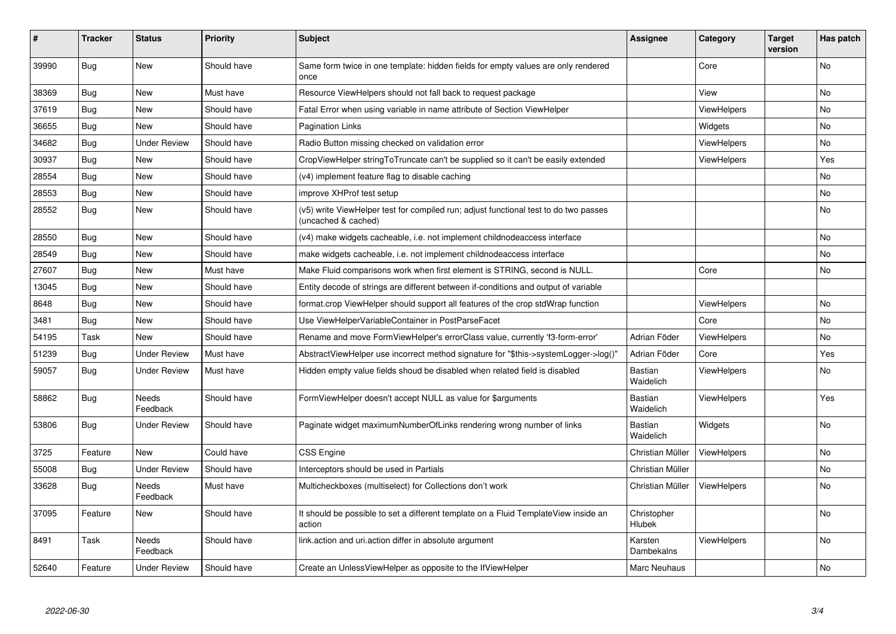| ∦     | <b>Tracker</b> | <b>Status</b>            | <b>Priority</b> | <b>Subject</b>                                                                                              | Assignee                    | Category           | <b>Target</b><br>version | Has patch      |
|-------|----------------|--------------------------|-----------------|-------------------------------------------------------------------------------------------------------------|-----------------------------|--------------------|--------------------------|----------------|
| 39990 | Bug            | <b>New</b>               | Should have     | Same form twice in one template: hidden fields for empty values are only rendered<br>once                   |                             | Core               |                          | <b>No</b>      |
| 38369 | Bug            | New                      | Must have       | Resource ViewHelpers should not fall back to request package                                                |                             | View               |                          | No             |
| 37619 | Bug            | <b>New</b>               | Should have     | Fatal Error when using variable in name attribute of Section ViewHelper                                     |                             | <b>ViewHelpers</b> |                          | No             |
| 36655 | Bug            | <b>New</b>               | Should have     | <b>Pagination Links</b>                                                                                     |                             | Widgets            |                          | No             |
| 34682 | Bug            | <b>Under Review</b>      | Should have     | Radio Button missing checked on validation error                                                            |                             | ViewHelpers        |                          | N <sub>o</sub> |
| 30937 | Bug            | <b>New</b>               | Should have     | CropViewHelper stringToTruncate can't be supplied so it can't be easily extended                            |                             | <b>ViewHelpers</b> |                          | Yes            |
| 28554 | <b>Bug</b>     | <b>New</b>               | Should have     | (v4) implement feature flag to disable caching                                                              |                             |                    |                          | No             |
| 28553 | <b>Bug</b>     | New                      | Should have     | improve XHProf test setup                                                                                   |                             |                    |                          | No             |
| 28552 | Bug            | New                      | Should have     | (v5) write ViewHelper test for compiled run; adjust functional test to do two passes<br>(uncached & cached) |                             |                    |                          | No             |
| 28550 | Bug            | New                      | Should have     | (v4) make widgets cacheable, i.e. not implement childnodeaccess interface                                   |                             |                    |                          | No             |
| 28549 | Bug            | New                      | Should have     | make widgets cacheable, i.e. not implement childnodeaccess interface                                        |                             |                    |                          | No             |
| 27607 | Bug            | <b>New</b>               | Must have       | Make Fluid comparisons work when first element is STRING, second is NULL.                                   |                             | Core               |                          | No             |
| 13045 | Bug            | <b>New</b>               | Should have     | Entity decode of strings are different between if-conditions and output of variable                         |                             |                    |                          |                |
| 8648  | Bug            | New                      | Should have     | format.crop ViewHelper should support all features of the crop stdWrap function                             |                             | ViewHelpers        |                          | No             |
| 3481  | <b>Bug</b>     | <b>New</b>               | Should have     | Use ViewHelperVariableContainer in PostParseFacet                                                           |                             | Core               |                          | No.            |
| 54195 | Task           | New                      | Should have     | Rename and move FormViewHelper's errorClass value, currently 'f3-form-error'                                | Adrian Föder                | <b>ViewHelpers</b> |                          | No             |
| 51239 | <b>Bug</b>     | <b>Under Review</b>      | Must have       | AbstractViewHelper use incorrect method signature for "\$this->systemLogger->log()"                         | Adrian Föder                | Core               |                          | Yes            |
| 59057 | <b>Bug</b>     | <b>Under Review</b>      | Must have       | Hidden empty value fields shoud be disabled when related field is disabled                                  | <b>Bastian</b><br>Waidelich | <b>ViewHelpers</b> |                          | No             |
| 58862 | Bug            | <b>Needs</b><br>Feedback | Should have     | FormViewHelper doesn't accept NULL as value for \$arguments                                                 | Bastian<br>Waidelich        | <b>ViewHelpers</b> |                          | Yes            |
| 53806 | Bug            | Under Review             | Should have     | Paginate widget maximumNumberOfLinks rendering wrong number of links                                        | <b>Bastian</b><br>Waidelich | Widgets            |                          | No             |
| 3725  | Feature        | New                      | Could have      | <b>CSS Engine</b>                                                                                           | Christian Müller            | ViewHelpers        |                          | No             |
| 55008 | <b>Bug</b>     | Under Review             | Should have     | Interceptors should be used in Partials                                                                     | Christian Müller            |                    |                          | No             |
| 33628 | Bug            | <b>Needs</b><br>Feedback | Must have       | Multicheckboxes (multiselect) for Collections don't work                                                    | Christian Müller            | <b>ViewHelpers</b> |                          | No             |
| 37095 | Feature        | New                      | Should have     | It should be possible to set a different template on a Fluid TemplateView inside an<br>action               | Christopher<br>Hlubek       |                    |                          | No             |
| 8491  | Task           | Needs<br>Feedback        | Should have     | link action and uri action differ in absolute argument                                                      | Karsten<br>Dambekalns       | <b>ViewHelpers</b> |                          | No             |
| 52640 | Feature        | <b>Under Review</b>      | Should have     | Create an UnlessViewHelper as opposite to the IfViewHelper                                                  | <b>Marc Neuhaus</b>         |                    |                          | No             |